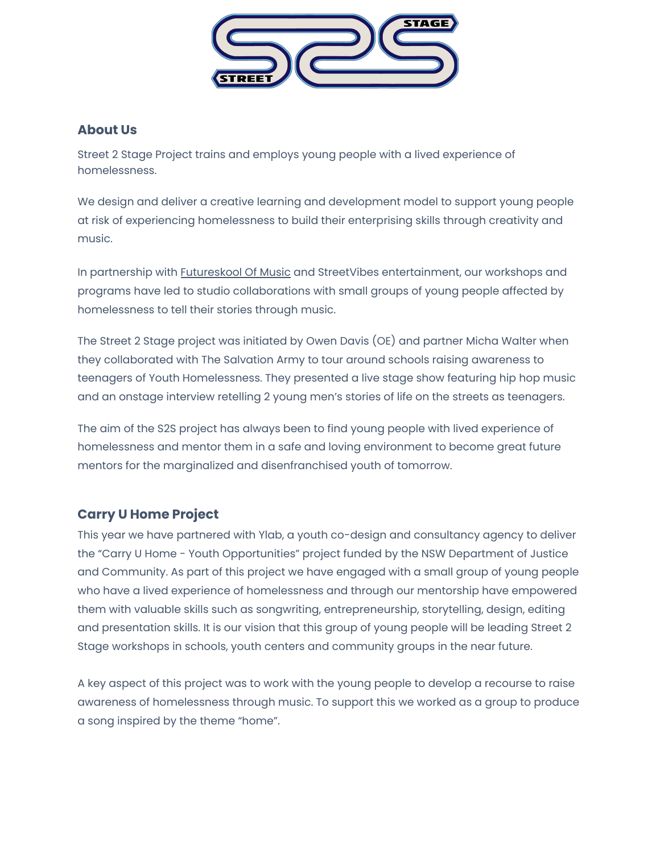

#### **About Us**

Street 2 Stage Project trains and employs young people with a lived experience of homelessness.

We design and deliver a creative learning and development model to support young people at risk of experiencing homelessness to build their enterprising skills through creativity and music.

In partnership with [Futureskool](https://www.eatingmusic.com/futureskool-2/) Of Music and StreetVibes entertainment, our workshops and programs have led to studio collaborations with small groups of young people affected by homelessness to tell their stories through music.

The Street 2 Stage project was initiated by Owen Davis (OE) and partner Micha Walter when they collaborated with The Salvation Army to tour around schools raising awareness to teenagers of Youth Homelessness. They presented a live stage show featuring hip hop music and an onstage interview retelling 2 young men's stories of life on the streets as teenagers.

The aim of the S2S project has always been to find young people with lived experience of homelessness and mentor them in a safe and loving environment to become great future mentors for the marginalized and disenfranchised youth of tomorrow.

## **Carry U Home Project**

This year we have partnered with Ylab, a youth co-design and consultancy agency to deliver the "Carry U Home - Youth Opportunities" project funded by the NSW Department of Justice and Community. As part of this project we have engaged with a small group of young people who have a lived experience of homelessness and through our mentorship have empowered them with valuable skills such as songwriting, entrepreneurship, storytelling, design, editing and presentation skills. It is our vision that this group of young people will be leading Street 2 Stage workshops in schools, youth centers and community groups in the near future.

A key aspect of this project was to work with the young people to develop a recourse to raise awareness of homelessness through music. To support this we worked as a group to produce a song inspired by the theme "home".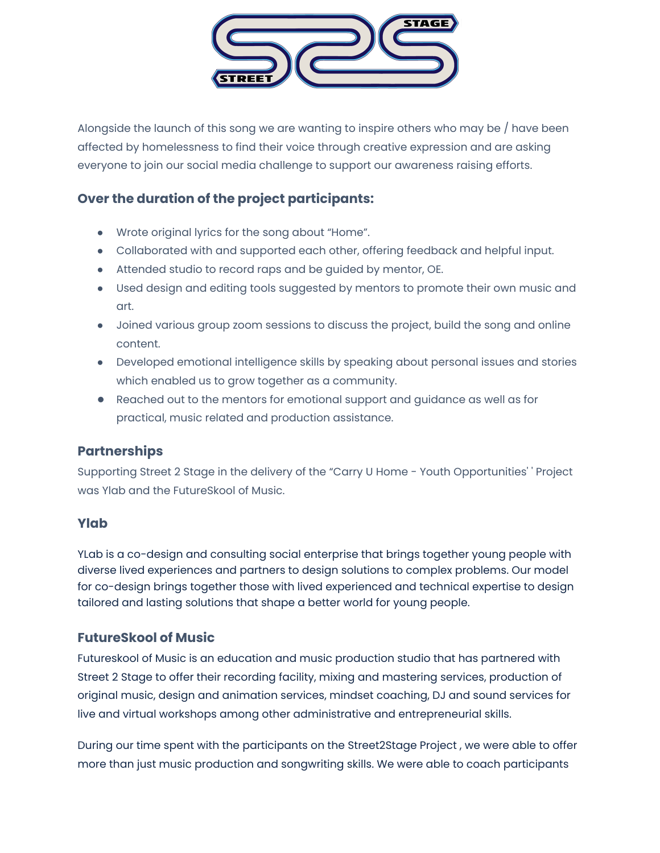

Alongside the launch of this song we are wanting to inspire others who may be / have been affected by homelessness to find their voice through creative expression and are asking everyone to join our social media challenge to support our awareness raising efforts.

# **Over the duration of the project participants:**

- Wrote original lyrics for the song about "Home".
- Collaborated with and supported each other, offering feedback and helpful input.
- Attended studio to record raps and be guided by mentor, OE.
- Used design and editing tools suggested by mentors to promote their own music and art.
- Joined various group zoom sessions to discuss the project, build the song and online content.
- Developed emotional intelligence skills by speaking about personal issues and stories which enabled us to grow together as a community.
- Reached out to the mentors for emotional support and guidance as well as for practical, music related and production assistance.

## **Partnerships**

Supporting Street 2 Stage in the delivery of the "Carry U Home - Youth Opportunities' ' Project was Ylab and the FutureSkool of Music.

#### **Ylab**

YLab is a co-design and consulting social enterprise that brings together young people with diverse lived experiences and partners to design solutions to complex problems. Our model for co-design brings together those with lived experienced and technical expertise to design tailored and lasting solutions that shape a better world for young people.

## **FutureSkool of Music**

Futureskool of Music is an education and music production studio that has partnered with Street 2 Stage to offer their recording facility, mixing and mastering services, production of original music, design and animation services, mindset coaching, DJ and sound services for live and virtual workshops among other administrative and entrepreneurial skills.

During our time spent with the participants on the Street2Stage Project , we were able to offer more than just music production and songwriting skills. We were able to coach participants